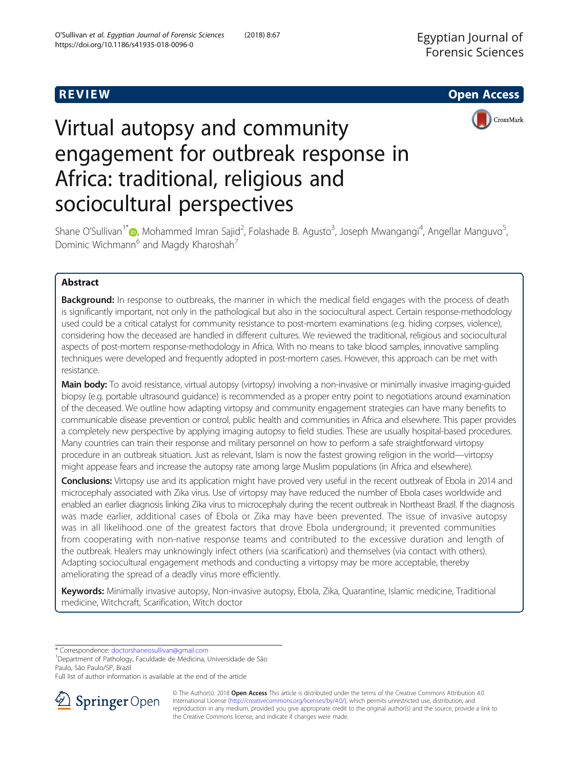**REVIEW ACCESS AND LOCAL CONTRACT CONTRACT OF ACCESS** 



# Virtual autopsy and community engagement for outbreak response in Africa: traditional, religious and sociocultural perspectives

Shane O'Sullivan<sup>1\*</sup> <mark>@</mark>, Mohammed Imran Sajid<sup>2</sup>, Folashade B. Agusto<sup>3</sup>, Joseph Mwangangi<sup>4</sup>, Angellar Manguvo<sup>5</sup> , Dominic Wichmann<sup>6</sup> and Magdy Kharoshah<sup>7</sup>

# Abstract

Background: In response to outbreaks, the manner in which the medical field engages with the process of death is significantly important, not only in the pathological but also in the sociocultural aspect. Certain response-methodology used could be a critical catalyst for community resistance to post-mortem examinations (e.g. hiding corpses, violence), considering how the deceased are handled in different cultures. We reviewed the traditional, religious and sociocultural aspects of post-mortem response-methodology in Africa. With no means to take blood samples, innovative sampling techniques were developed and frequently adopted in post-mortem cases. However, this approach can be met with resistance.

Main body: To avoid resistance, virtual autopsy (virtopsy) involving a non-invasive or minimally invasive imaging-guided biopsy (e.g. portable ultrasound guidance) is recommended as a proper entry point to negotiations around examination of the deceased. We outline how adapting virtopsy and community engagement strategies can have many benefits to communicable disease prevention or control, public health and communities in Africa and elsewhere. This paper provides a completely new perspective by applying imaging autopsy to field studies. These are usually hospital-based procedures. Many countries can train their response and military personnel on how to perform a safe straightforward virtopsy procedure in an outbreak situation. Just as relevant, Islam is now the fastest growing religion in the world—virtopsy might appease fears and increase the autopsy rate among large Muslim populations (in Africa and elsewhere).

Conclusions: Virtopsy use and its application might have proved very useful in the recent outbreak of Ebola in 2014 and microcephaly associated with Zika virus. Use of virtopsy may have reduced the number of Ebola cases worldwide and enabled an earlier diagnosis linking Zika virus to microcephaly during the recent outbreak in Northeast Brazil. If the diagnosis was made earlier, additional cases of Ebola or Zika may have been prevented. The issue of invasive autopsy was in all likelihood one of the greatest factors that drove Ebola underground; it prevented communities from cooperating with non-native response teams and contributed to the excessive duration and length of the outbreak. Healers may unknowingly infect others (via scarification) and themselves (via contact with others). Adapting sociocultural engagement methods and conducting a virtopsy may be more acceptable, thereby ameliorating the spread of a deadly virus more efficiently.

Keywords: Minimally invasive autopsy, Non-invasive autopsy, Ebola, Zika, Quarantine, Islamic medicine, Traditional medicine, Witchcraft, Scarification, Witch doctor

\* Correspondence: [doctorshaneosullivan@gmail.com](mailto:doctorshaneosullivan@gmail.com) <sup>1</sup>

<sup>1</sup>Department of Pathology, Faculdade de Medicina, Universidade de São Paulo, São Paulo/SP, Brazil

Full list of author information is available at the end of the article



© The Author(s). 2018 Open Access This article is distributed under the terms of the Creative Commons Attribution 4.0 International License ([http://creativecommons.org/licenses/by/4.0/\)](http://creativecommons.org/licenses/by/4.0/), which permits unrestricted use, distribution, and reproduction in any medium, provided you give appropriate credit to the original author(s) and the source, provide a link to the Creative Commons license, and indicate if changes were made.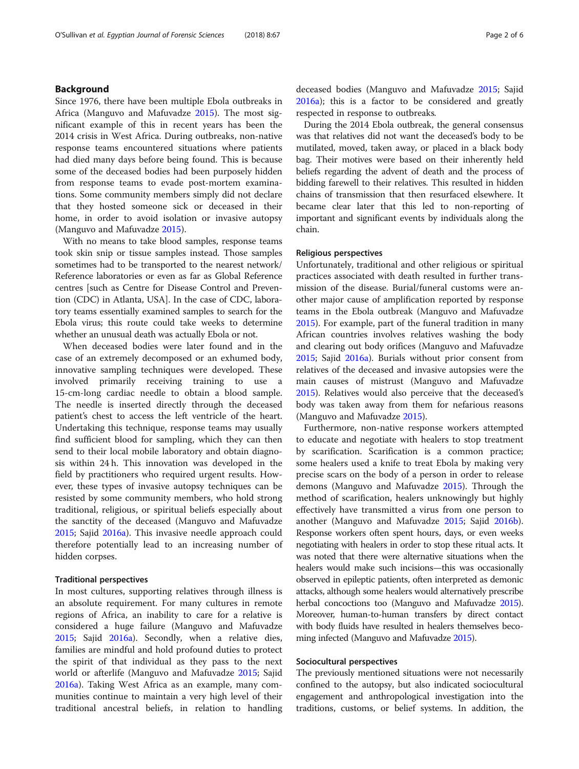### Background

Since 1976, there have been multiple Ebola outbreaks in Africa (Manguvo and Mafuvadze [2015\)](#page-5-0). The most significant example of this in recent years has been the 2014 crisis in West Africa. During outbreaks, non-native response teams encountered situations where patients had died many days before being found. This is because some of the deceased bodies had been purposely hidden from response teams to evade post-mortem examinations. Some community members simply did not declare that they hosted someone sick or deceased in their home, in order to avoid isolation or invasive autopsy (Manguvo and Mafuvadze [2015](#page-5-0)).

With no means to take blood samples, response teams took skin snip or tissue samples instead. Those samples sometimes had to be transported to the nearest network/ Reference laboratories or even as far as Global Reference centres [such as Centre for Disease Control and Prevention (CDC) in Atlanta, USA]. In the case of CDC, laboratory teams essentially examined samples to search for the Ebola virus; this route could take weeks to determine whether an unusual death was actually Ebola or not.

When deceased bodies were later found and in the case of an extremely decomposed or an exhumed body, innovative sampling techniques were developed. These involved primarily receiving training to use a 15-cm-long cardiac needle to obtain a blood sample. The needle is inserted directly through the deceased patient's chest to access the left ventricle of the heart. Undertaking this technique, response teams may usually find sufficient blood for sampling, which they can then send to their local mobile laboratory and obtain diagnosis within 24 h. This innovation was developed in the field by practitioners who required urgent results. However, these types of invasive autopsy techniques can be resisted by some community members, who hold strong traditional, religious, or spiritual beliefs especially about the sanctity of the deceased (Manguvo and Mafuvadze [2015](#page-5-0); Sajid [2016a\)](#page-5-0). This invasive needle approach could therefore potentially lead to an increasing number of hidden corpses.

#### Traditional perspectives

In most cultures, supporting relatives through illness is an absolute requirement. For many cultures in remote regions of Africa, an inability to care for a relative is considered a huge failure (Manguvo and Mafuvadze [2015](#page-5-0); Sajid [2016a](#page-5-0)). Secondly, when a relative dies, families are mindful and hold profound duties to protect the spirit of that individual as they pass to the next world or afterlife (Manguvo and Mafuvadze [2015;](#page-5-0) Sajid [2016a\)](#page-5-0). Taking West Africa as an example, many communities continue to maintain a very high level of their traditional ancestral beliefs, in relation to handling deceased bodies (Manguvo and Mafuvadze [2015;](#page-5-0) Sajid [2016a\)](#page-5-0); this is a factor to be considered and greatly respected in response to outbreaks.

During the 2014 Ebola outbreak, the general consensus was that relatives did not want the deceased's body to be mutilated, moved, taken away, or placed in a black body bag. Their motives were based on their inherently held beliefs regarding the advent of death and the process of bidding farewell to their relatives. This resulted in hidden chains of transmission that then resurfaced elsewhere. It became clear later that this led to non-reporting of important and significant events by individuals along the chain.

#### Religious perspectives

Unfortunately, traditional and other religious or spiritual practices associated with death resulted in further transmission of the disease. Burial/funeral customs were another major cause of amplification reported by response teams in the Ebola outbreak (Manguvo and Mafuvadze [2015](#page-5-0)). For example, part of the funeral tradition in many African countries involves relatives washing the body and clearing out body orifices (Manguvo and Mafuvadze [2015](#page-5-0); Sajid [2016a](#page-5-0)). Burials without prior consent from relatives of the deceased and invasive autopsies were the main causes of mistrust (Manguvo and Mafuvadze [2015](#page-5-0)). Relatives would also perceive that the deceased's body was taken away from them for nefarious reasons (Manguvo and Mafuvadze [2015](#page-5-0)).

Furthermore, non-native response workers attempted to educate and negotiate with healers to stop treatment by scarification. Scarification is a common practice; some healers used a knife to treat Ebola by making very precise scars on the body of a person in order to release demons (Manguvo and Mafuvadze [2015\)](#page-5-0). Through the method of scarification, healers unknowingly but highly effectively have transmitted a virus from one person to another (Manguvo and Mafuvadze [2015;](#page-5-0) Sajid [2016b](#page-5-0)). Response workers often spent hours, days, or even weeks negotiating with healers in order to stop these ritual acts. It was noted that there were alternative situations when the healers would make such incisions—this was occasionally observed in epileptic patients, often interpreted as demonic attacks, although some healers would alternatively prescribe herbal concoctions too (Manguvo and Mafuvadze [2015](#page-5-0)). Moreover, human-to-human transfers by direct contact with body fluids have resulted in healers themselves becoming infected (Manguvo and Mafuvadze [2015](#page-5-0)).

### Sociocultural perspectives

The previously mentioned situations were not necessarily confined to the autopsy, but also indicated sociocultural engagement and anthropological investigation into the traditions, customs, or belief systems. In addition, the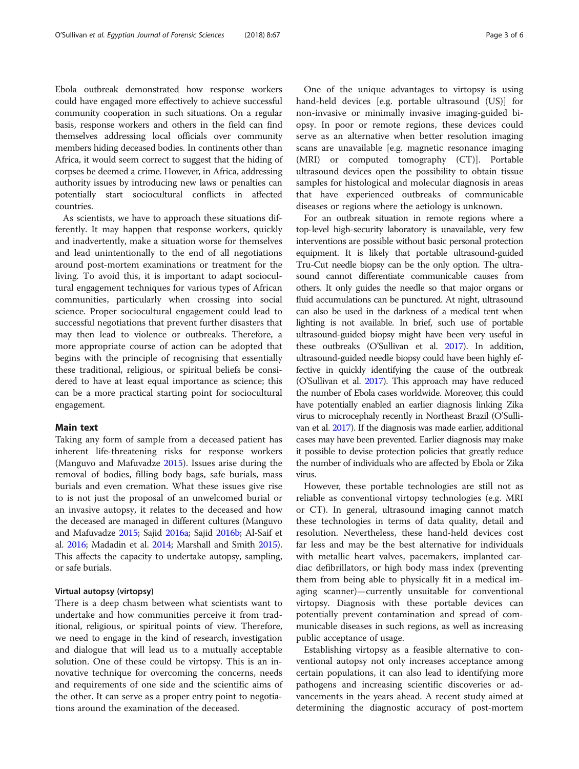Ebola outbreak demonstrated how response workers could have engaged more effectively to achieve successful community cooperation in such situations. On a regular basis, response workers and others in the field can find themselves addressing local officials over community members hiding deceased bodies. In continents other than Africa, it would seem correct to suggest that the hiding of corpses be deemed a crime. However, in Africa, addressing authority issues by introducing new laws or penalties can potentially start sociocultural conflicts in affected countries.

As scientists, we have to approach these situations differently. It may happen that response workers, quickly and inadvertently, make a situation worse for themselves and lead unintentionally to the end of all negotiations around post-mortem examinations or treatment for the living. To avoid this, it is important to adapt sociocultural engagement techniques for various types of African communities, particularly when crossing into social science. Proper sociocultural engagement could lead to successful negotiations that prevent further disasters that may then lead to violence or outbreaks. Therefore, a more appropriate course of action can be adopted that begins with the principle of recognising that essentially these traditional, religious, or spiritual beliefs be considered to have at least equal importance as science; this can be a more practical starting point for sociocultural engagement.

#### Main text

Taking any form of sample from a deceased patient has inherent life-threatening risks for response workers (Manguvo and Mafuvadze [2015](#page-5-0)). Issues arise during the removal of bodies, filling body bags, safe burials, mass burials and even cremation. What these issues give rise to is not just the proposal of an unwelcomed burial or an invasive autopsy, it relates to the deceased and how the deceased are managed in different cultures (Manguvo and Mafuvadze [2015;](#page-5-0) Sajid [2016a;](#page-5-0) Sajid [2016b;](#page-5-0) Al-Saif et al. [2016](#page-5-0); Madadin et al. [2014;](#page-5-0) Marshall and Smith [2015](#page-5-0)). This affects the capacity to undertake autopsy, sampling, or safe burials.

#### Virtual autopsy (virtopsy)

There is a deep chasm between what scientists want to undertake and how communities perceive it from traditional, religious, or spiritual points of view. Therefore, we need to engage in the kind of research, investigation and dialogue that will lead us to a mutually acceptable solution. One of these could be virtopsy. This is an innovative technique for overcoming the concerns, needs and requirements of one side and the scientific aims of the other. It can serve as a proper entry point to negotiations around the examination of the deceased.

One of the unique advantages to virtopsy is using hand-held devices [e.g. portable ultrasound (US)] for non-invasive or minimally invasive imaging-guided biopsy. In poor or remote regions, these devices could serve as an alternative when better resolution imaging scans are unavailable [e.g. magnetic resonance imaging (MRI) or computed tomography (CT)]. Portable ultrasound devices open the possibility to obtain tissue samples for histological and molecular diagnosis in areas that have experienced outbreaks of communicable diseases or regions where the aetiology is unknown.

For an outbreak situation in remote regions where a top-level high-security laboratory is unavailable, very few interventions are possible without basic personal protection equipment. It is likely that portable ultrasound-guided Tru-Cut needle biopsy can be the only option. The ultrasound cannot differentiate communicable causes from others. It only guides the needle so that major organs or fluid accumulations can be punctured. At night, ultrasound can also be used in the darkness of a medical tent when lighting is not available. In brief, such use of portable ultrasound-guided biopsy might have been very useful in these outbreaks (O'Sullivan et al. [2017\)](#page-5-0). In addition, ultrasound-guided needle biopsy could have been highly effective in quickly identifying the cause of the outbreak (O'Sullivan et al. [2017](#page-5-0)). This approach may have reduced the number of Ebola cases worldwide. Moreover, this could have potentially enabled an earlier diagnosis linking Zika virus to microcephaly recently in Northeast Brazil (O'Sullivan et al. [2017\)](#page-5-0). If the diagnosis was made earlier, additional cases may have been prevented. Earlier diagnosis may make it possible to devise protection policies that greatly reduce the number of individuals who are affected by Ebola or Zika virus.

However, these portable technologies are still not as reliable as conventional virtopsy technologies (e.g. MRI or CT). In general, ultrasound imaging cannot match these technologies in terms of data quality, detail and resolution. Nevertheless, these hand-held devices cost far less and may be the best alternative for individuals with metallic heart valves, pacemakers, implanted cardiac defibrillators, or high body mass index (preventing them from being able to physically fit in a medical imaging scanner)—currently unsuitable for conventional virtopsy. Diagnosis with these portable devices can potentially prevent contamination and spread of communicable diseases in such regions, as well as increasing public acceptance of usage.

Establishing virtopsy as a feasible alternative to conventional autopsy not only increases acceptance among certain populations, it can also lead to identifying more pathogens and increasing scientific discoveries or advancements in the years ahead. A recent study aimed at determining the diagnostic accuracy of post-mortem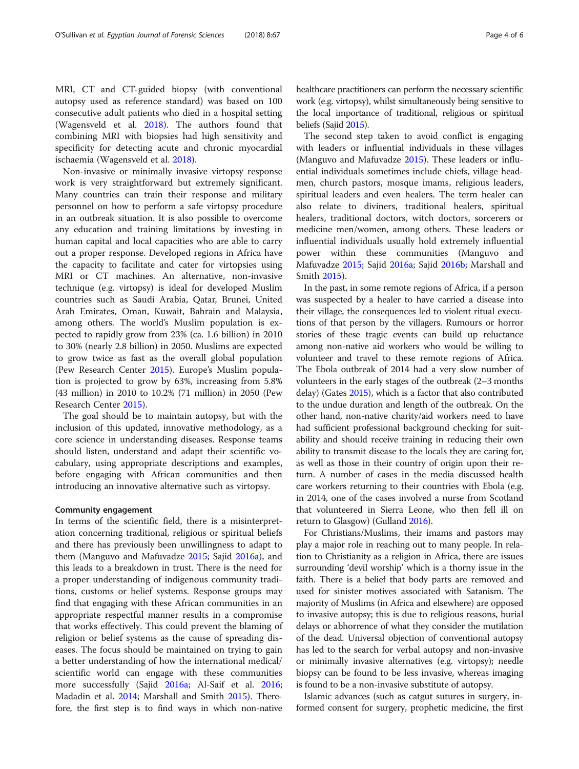MRI, CT and CT-guided biopsy (with conventional autopsy used as reference standard) was based on 100 consecutive adult patients who died in a hospital setting (Wagensveld et al. [2018](#page-5-0)). The authors found that combining MRI with biopsies had high sensitivity and specificity for detecting acute and chronic myocardial ischaemia (Wagensveld et al. [2018](#page-5-0)).

Non-invasive or minimally invasive virtopsy response work is very straightforward but extremely significant. Many countries can train their response and military personnel on how to perform a safe virtopsy procedure in an outbreak situation. It is also possible to overcome any education and training limitations by investing in human capital and local capacities who are able to carry out a proper response. Developed regions in Africa have the capacity to facilitate and cater for virtopsies using MRI or CT machines. An alternative, non-invasive technique (e.g. virtopsy) is ideal for developed Muslim countries such as Saudi Arabia, Qatar, Brunei, United Arab Emirates, Oman, Kuwait, Bahrain and Malaysia, among others. The world's Muslim population is expected to rapidly grow from 23% (ca. 1.6 billion) in 2010 to 30% (nearly 2.8 billion) in 2050. Muslims are expected to grow twice as fast as the overall global population (Pew Research Center [2015](#page-5-0)). Europe's Muslim population is projected to grow by 63%, increasing from 5.8% (43 million) in 2010 to 10.2% (71 million) in 2050 (Pew Research Center [2015](#page-5-0)).

The goal should be to maintain autopsy, but with the inclusion of this updated, innovative methodology, as a core science in understanding diseases. Response teams should listen, understand and adapt their scientific vocabulary, using appropriate descriptions and examples, before engaging with African communities and then introducing an innovative alternative such as virtopsy.

#### Community engagement

In terms of the scientific field, there is a misinterpretation concerning traditional, religious or spiritual beliefs and there has previously been unwillingness to adapt to them (Manguvo and Mafuvadze [2015](#page-5-0); Sajid [2016a\)](#page-5-0), and this leads to a breakdown in trust. There is the need for a proper understanding of indigenous community traditions, customs or belief systems. Response groups may find that engaging with these African communities in an appropriate respectful manner results in a compromise that works effectively. This could prevent the blaming of religion or belief systems as the cause of spreading diseases. The focus should be maintained on trying to gain a better understanding of how the international medical/ scientific world can engage with these communities more successfully (Sajid [2016a;](#page-5-0) Al-Saif et al. [2016](#page-5-0); Madadin et al. [2014](#page-5-0); Marshall and Smith [2015](#page-5-0)). Therefore, the first step is to find ways in which non-native healthcare practitioners can perform the necessary scientific work (e.g. virtopsy), whilst simultaneously being sensitive to the local importance of traditional, religious or spiritual beliefs (Sajid [2015\)](#page-5-0).

The second step taken to avoid conflict is engaging with leaders or influential individuals in these villages (Manguvo and Mafuvadze [2015\)](#page-5-0). These leaders or influential individuals sometimes include chiefs, village headmen, church pastors, mosque imams, religious leaders, spiritual leaders and even healers. The term healer can also relate to diviners, traditional healers, spiritual healers, traditional doctors, witch doctors, sorcerers or medicine men/women, among others. These leaders or influential individuals usually hold extremely influential power within these communities (Manguvo and Mafuvadze [2015](#page-5-0); Sajid [2016a](#page-5-0); Sajid [2016b;](#page-5-0) Marshall and Smith [2015\)](#page-5-0).

In the past, in some remote regions of Africa, if a person was suspected by a healer to have carried a disease into their village, the consequences led to violent ritual executions of that person by the villagers. Rumours or horror stories of these tragic events can build up reluctance among non-native aid workers who would be willing to volunteer and travel to these remote regions of Africa. The Ebola outbreak of 2014 had a very slow number of volunteers in the early stages of the outbreak (2–3 months delay) (Gates [2015\)](#page-5-0), which is a factor that also contributed to the undue duration and length of the outbreak. On the other hand, non-native charity/aid workers need to have had sufficient professional background checking for suitability and should receive training in reducing their own ability to transmit disease to the locals they are caring for, as well as those in their country of origin upon their return. A number of cases in the media discussed health care workers returning to their countries with Ebola (e.g. in 2014, one of the cases involved a nurse from Scotland that volunteered in Sierra Leone, who then fell ill on return to Glasgow) (Gulland [2016](#page-5-0)).

For Christians/Muslims, their imams and pastors may play a major role in reaching out to many people. In relation to Christianity as a religion in Africa, there are issues surrounding 'devil worship' which is a thorny issue in the faith. There is a belief that body parts are removed and used for sinister motives associated with Satanism. The majority of Muslims (in Africa and elsewhere) are opposed to invasive autopsy; this is due to religious reasons, burial delays or abhorrence of what they consider the mutilation of the dead. Universal objection of conventional autopsy has led to the search for verbal autopsy and non-invasive or minimally invasive alternatives (e.g. virtopsy); needle biopsy can be found to be less invasive, whereas imaging is found to be a non-invasive substitute of autopsy.

Islamic advances (such as catgut sutures in surgery, informed consent for surgery, prophetic medicine, the first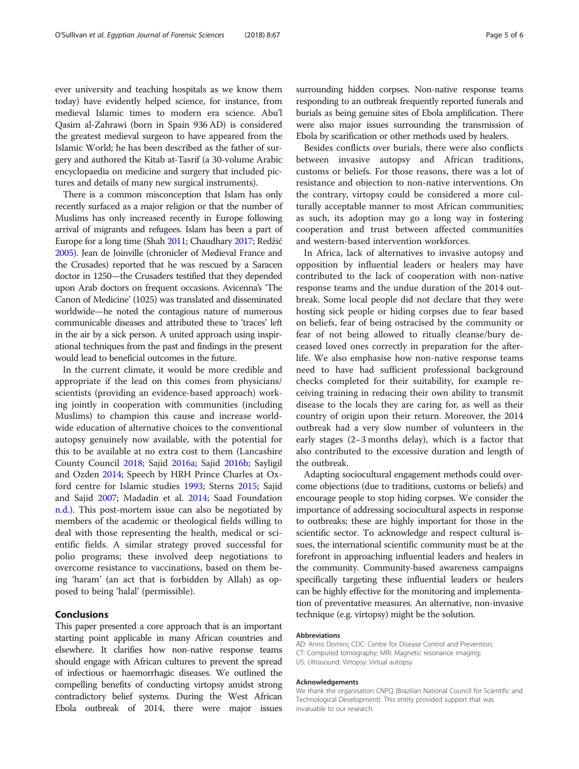ever university and teaching hospitals as we know them today) have evidently helped science, for instance, from medieval Islamic times to modern era science. Abu'l Qasim al-Zahrawi (born in Spain 936 AD) is considered the greatest medieval surgeon to have appeared from the Islamic World; he has been described as the father of surgery and authored the Kitab at-Tasrif (a 30-volume Arabic encyclopaedia on medicine and surgery that included pictures and details of many new surgical instruments).

There is a common misconception that Islam has only recently surfaced as a major religion or that the number of Muslims has only increased recently in Europe following arrival of migrants and refugees. Islam has been a part of Europe for a long time (Shah [2011](#page-5-0); Chaudhary [2017](#page-5-0); Redžić [2005\)](#page-5-0). Jean de Joinville (chronicler of Medieval France and the Crusades) reported that he was rescued by a Saracen doctor in 1250—the Crusaders testified that they depended upon Arab doctors on frequent occasions. Avicenna's 'The Canon of Medicine' (1025) was translated and disseminated worldwide—he noted the contagious nature of numerous communicable diseases and attributed these to 'traces' left in the air by a sick person. A united approach using inspirational techniques from the past and findings in the present would lead to beneficial outcomes in the future.

In the current climate, it would be more credible and appropriate if the lead on this comes from physicians/ scientists (providing an evidence-based approach) working jointly in cooperation with communities (including Muslims) to champion this cause and increase worldwide education of alternative choices to the conventional autopsy genuinely now available, with the potential for this to be available at no extra cost to them (Lancashire County Council [2018;](#page-5-0) Sajid [2016a;](#page-5-0) Sajid [2016b;](#page-5-0) Sayligil and Ozden [2014](#page-5-0); Speech by HRH Prince Charles at Oxford centre for Islamic studies [1993;](#page-5-0) Sterns [2015;](#page-5-0) Sajid and Sajid [2007](#page-5-0); Madadin et al. [2014](#page-5-0); Saad Foundation [n.d.\)](#page-5-0). This post-mortem issue can also be negotiated by members of the academic or theological fields willing to deal with those representing the health, medical or scientific fields. A similar strategy proved successful for polio programs; these involved deep negotiations to overcome resistance to vaccinations, based on them being 'haram' (an act that is forbidden by Allah) as opposed to being 'halal' (permissible).

#### Conclusions

This paper presented a core approach that is an important starting point applicable in many African countries and elsewhere. It clarifies how non-native response teams should engage with African cultures to prevent the spread of infectious or haemorrhagic diseases. We outlined the compelling benefits of conducting virtopsy amidst strong contradictory belief systems. During the West African Ebola outbreak of 2014, there were major issues surrounding hidden corpses. Non-native response teams responding to an outbreak frequently reported funerals and burials as being genuine sites of Ebola amplification. There were also major issues surrounding the transmission of Ebola by scarification or other methods used by healers.

Besides conflicts over burials, there were also conflicts between invasive autopsy and African traditions, customs or beliefs. For those reasons, there was a lot of resistance and objection to non-native interventions. On the contrary, virtopsy could be considered a more culturally acceptable manner to most African communities; as such, its adoption may go a long way in fostering cooperation and trust between affected communities and western-based intervention workforces.

In Africa, lack of alternatives to invasive autopsy and opposition by influential leaders or healers may have contributed to the lack of cooperation with non-native response teams and the undue duration of the 2014 outbreak. Some local people did not declare that they were hosting sick people or hiding corpses due to fear based on beliefs, fear of being ostracised by the community or fear of not being allowed to ritually cleanse/bury deceased loved ones correctly in preparation for the afterlife. We also emphasise how non-native response teams need to have had sufficient professional background checks completed for their suitability, for example receiving training in reducing their own ability to transmit disease to the locals they are caring for, as well as their country of origin upon their return. Moreover, the 2014 outbreak had a very slow number of volunteers in the early stages (2–3 months delay), which is a factor that also contributed to the excessive duration and length of the outbreak.

Adapting sociocultural engagement methods could overcome objections (due to traditions, customs or beliefs) and encourage people to stop hiding corpses. We consider the importance of addressing sociocultural aspects in response to outbreaks; these are highly important for those in the scientific sector. To acknowledge and respect cultural issues, the international scientific community must be at the forefront in approaching influential leaders and healers in the community. Community-based awareness campaigns specifically targeting these influential leaders or healers can be highly effective for the monitoring and implementation of preventative measures. An alternative, non-invasive technique (e.g. virtopsy) might be the solution.

#### Abbreviations

AD: Anno Domini; CDC: Centre for Disease Control and Prevention; CT: Computed tomography; MRI: Magnetic resonance imaging; US: Ultrasound; Virtopsy: Virtual autopsy

#### Acknowledgements

We thank the organisation CNPQ (Brazilian National Council for Scientific and Technological Development). This entity provided support that was invaluable to our research.